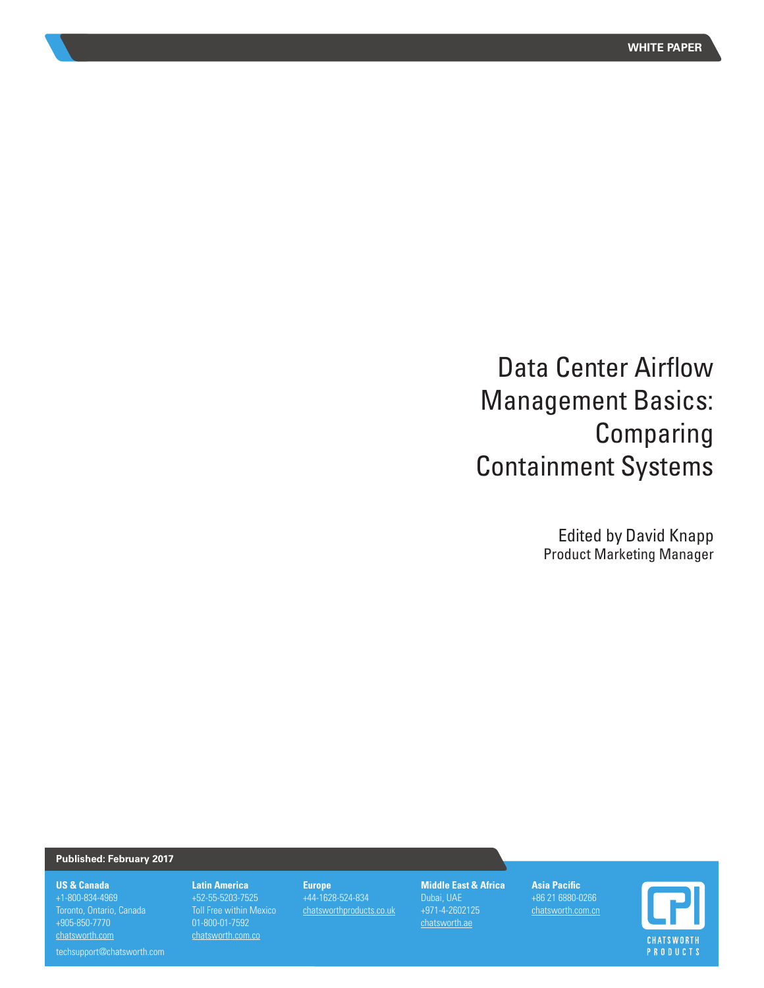# Data Center Airflow Management Basics: Comparing Containment Systems

Edited by David Knapp Product Marketing Manager

## **Published: February 2017**

#### **US & Canada**

+1-800-834-4969 +905-850-7770 chatsworth.com

**Latin America**  +52-55-5203-7525 Toll Free within Mexico 01-800-01-7592 chatsworth.com.co

#### **Europe** +44-1628-524-834 chatsworthproducts.co.uk

**Middle East & Africa** +971-4-2602125 chatsworth.ae

**Asia Pacific** +86 21 6880-0266 chatsworth.com.cn



techsupport@chatsworth.com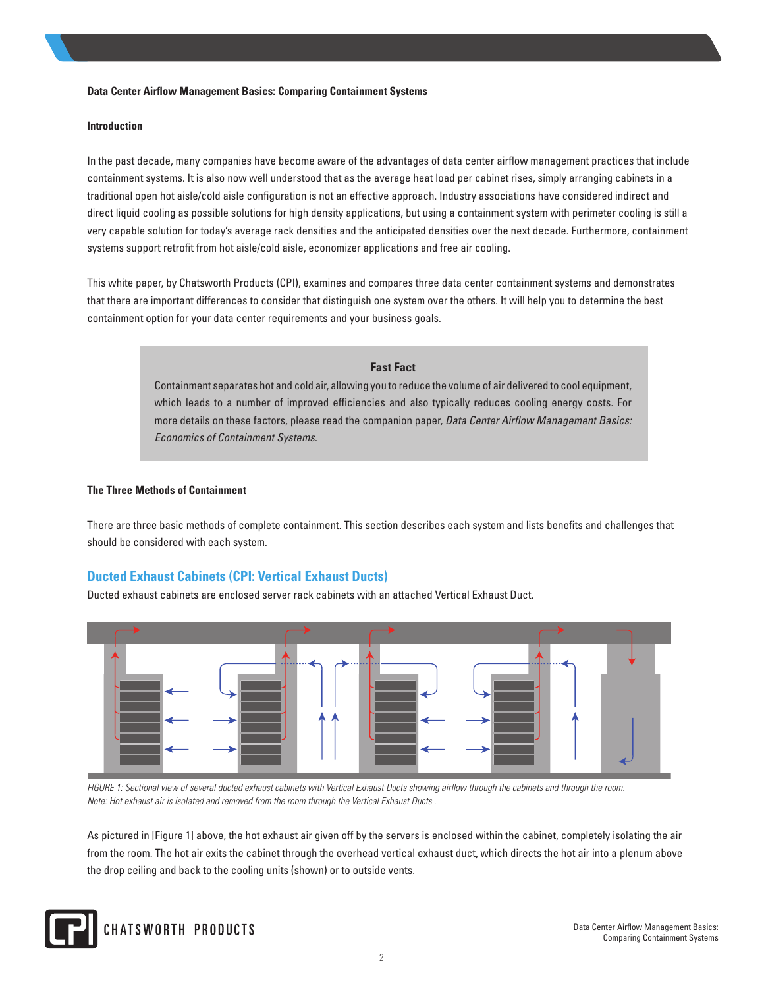#### **Data Center Airflow Management Basics: Comparing Containment Systems**

#### **Introduction**

In the past decade, many companies have become aware of the advantages of data center airflow management practices that include containment systems. It is also now well understood that as the average heat load per cabinet rises, simply arranging cabinets in a traditional open hot aisle/cold aisle configuration is not an effective approach. Industry associations have considered indirect and direct liquid cooling as possible solutions for high density applications, but using a containment system with perimeter cooling is still a very capable solution for today's average rack densities and the anticipated densities over the next decade. Furthermore, containment systems support retrofit from hot aisle/cold aisle, economizer applications and free air cooling.

This white paper, by Chatsworth Products (CPI), examines and compares three data center containment systems and demonstrates that there are important differences to consider that distinguish one system over the others. It will help you to determine the best containment option for your data center requirements and your business goals.

#### **Fast Fact**

Containment separates hot and cold air, allowing you to reduce the volume of air delivered to cool equipment, which leads to a number of improved efficiencies and also typically reduces cooling energy costs. For more details on these factors, please read the companion paper, *Data Center Airflow Management Basics: Economics of Containment Systems.*

#### **The Three Methods of Containment**

There are three basic methods of complete containment. This section describes each system and lists benefits and challenges that should be considered with each system.

# **Ducted Exhaust Cabinets (CPI: Vertical Exhaust Ducts)**

Ducted exhaust cabinets are enclosed server rack cabinets with an attached Vertical Exhaust Duct.



*FIGURE 1: Sectional view of several ducted exhaust cabinets with Vertical Exhaust Ducts showing airflow through the cabinets and through the room. Note: Hot exhaust air is isolated and removed from the room through the Vertical Exhaust Ducts .* 

As pictured in [Figure 1] above, the hot exhaust air given off by the servers is enclosed within the cabinet, completely isolating the air from the room. The hot air exits the cabinet through the overhead vertical exhaust duct, which directs the hot air into a plenum above the drop ceiling and back to the cooling units (shown) or to outside vents.

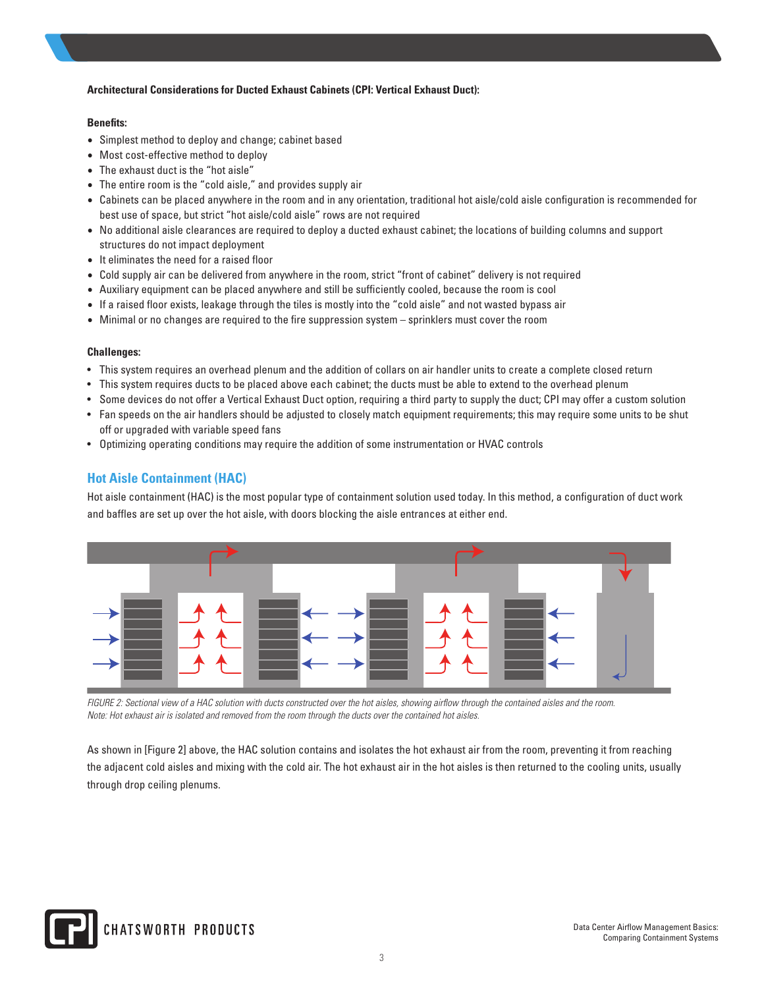## **Architectural Considerations for Ducted Exhaust Cabinets (CPI: Vertical Exhaust Duct):**

## **Benefits:**

- Simplest method to deploy and change; cabinet based
- Most cost-effective method to deploy
- The exhaust duct is the "hot aisle"
- The entire room is the "cold aisle," and provides supply air
- Cabinets can be placed anywhere in the room and in any orientation, traditional hot aisle/cold aisle configuration is recommended for best use of space, but strict "hot aisle/cold aisle" rows are not required
- No additional aisle clearances are required to deploy a ducted exhaust cabinet; the locations of building columns and support structures do not impact deployment
- It eliminates the need for a raised floor
- Cold supply air can be delivered from anywhere in the room, strict "front of cabinet" delivery is not required
- Auxiliary equipment can be placed anywhere and still be sufficiently cooled, because the room is cool
- If a raised floor exists, leakage through the tiles is mostly into the "cold aisle" and not wasted bypass air
- Minimal or no changes are required to the fire suppression system sprinklers must cover the room

## **Challenges:**

- This system requires an overhead plenum and the addition of collars on air handler units to create a complete closed return
- This system requires ducts to be placed above each cabinet; the ducts must be able to extend to the overhead plenum
- Some devices do not offer a Vertical Exhaust Duct option, requiring a third party to supply the duct; CPI may offer a custom solution
- Fan speeds on the air handlers should be adjusted to closely match equipment requirements; this may require some units to be shut off or upgraded with variable speed fans
- Optimizing operating conditions may require the addition of some instrumentation or HVAC controls

# **Hot Aisle Containment (HAC)**

Hot aisle containment (HAC) is the most popular type of containment solution used today. In this method, a configuration of duct work and baffles are set up over the hot aisle, with doors blocking the aisle entrances at either end.



*FIGURE 2: Sectional view of a HAC solution with ducts constructed over the hot aisles, showing airflow through the contained aisles and the room. Note: Hot exhaust air is isolated and removed from the room through the ducts over the contained hot aisles.*

As shown in [Figure 2] above, the HAC solution contains and isolates the hot exhaust air from the room, preventing it from reaching the adjacent cold aisles and mixing with the cold air. The hot exhaust air in the hot aisles is then returned to the cooling units, usually through drop ceiling plenums.

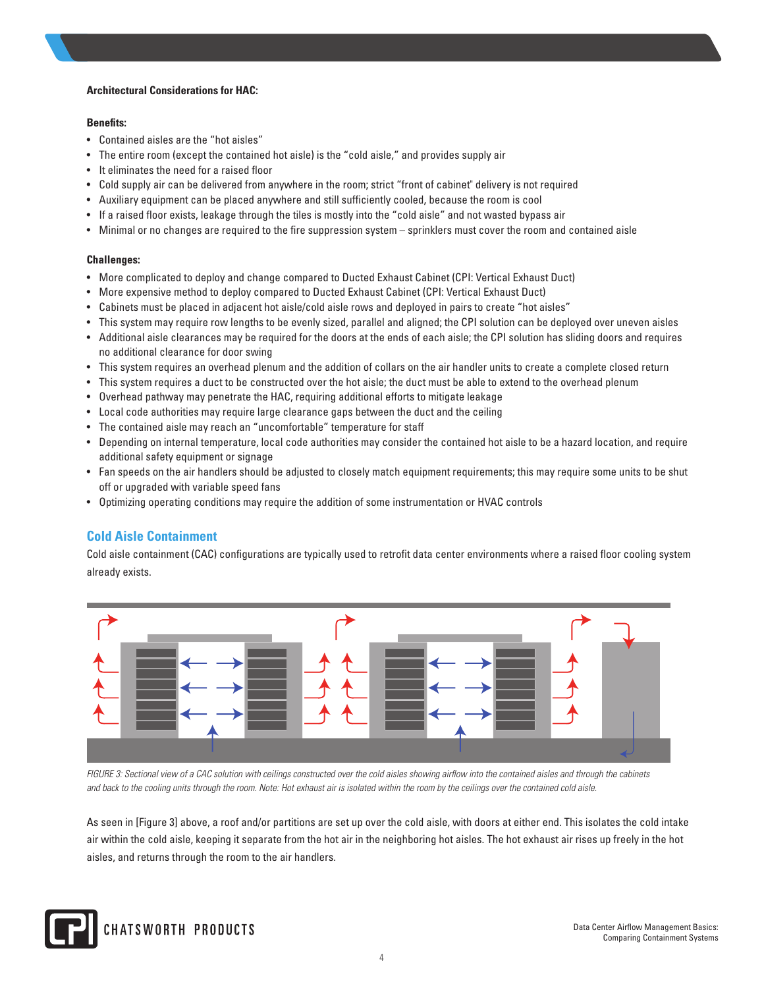## **Architectural Considerations for HAC:**

## **Benefits:**

- Contained aisles are the "hot aisles"
- The entire room (except the contained hot aisle) is the "cold aisle," and provides supply air
- It eliminates the need for a raised floor
- Cold supply air can be delivered from anywhere in the room; strict "front of cabinet" delivery is not required
- Auxiliary equipment can be placed anywhere and still sufficiently cooled, because the room is cool
- If a raised floor exists, leakage through the tiles is mostly into the "cold aisle" and not wasted bypass air
- Minimal or no changes are required to the fire suppression system sprinklers must cover the room and contained aisle

# **Challenges:**

- More complicated to deploy and change compared to Ducted Exhaust Cabinet (CPI: Vertical Exhaust Duct)
- More expensive method to deploy compared to Ducted Exhaust Cabinet (CPI: Vertical Exhaust Duct)
- Cabinets must be placed in adjacent hot aisle/cold aisle rows and deployed in pairs to create "hot aisles"
- This system may require row lengths to be evenly sized, parallel and aligned; the CPI solution can be deployed over uneven aisles
- Additional aisle clearances may be required for the doors at the ends of each aisle; the CPI solution has sliding doors and requires no additional clearance for door swing
- This system requires an overhead plenum and the addition of collars on the air handler units to create a complete closed return
- This system requires a duct to be constructed over the hot aisle; the duct must be able to extend to the overhead plenum
- Overhead pathway may penetrate the HAC, requiring additional efforts to mitigate leakage
- Local code authorities may require large clearance gaps between the duct and the ceiling
- The contained aisle may reach an "uncomfortable" temperature for staff
- Depending on internal temperature, local code authorities may consider the contained hot aisle to be a hazard location, and require additional safety equipment or signage
- Fan speeds on the air handlers should be adjusted to closely match equipment requirements; this may require some units to be shut off or upgraded with variable speed fans
- Optimizing operating conditions may require the addition of some instrumentation or HVAC controls

# **Cold Aisle Containment**

Cold aisle containment (CAC) configurations are typically used to retrofit data center environments where a raised floor cooling system already exists.



*FIGURE 3: Sectional view of a CAC solution with ceilings constructed over the cold aisles showing airflow into the contained aisles and through the cabinets and back to the cooling units through the room. Note: Hot exhaust air is isolated within the room by the ceilings over the contained cold aisle.*

As seen in [Figure 3] above, a roof and/or partitions are set up over the cold aisle, with doors at either end. This isolates the cold intake air within the cold aisle, keeping it separate from the hot air in the neighboring hot aisles. The hot exhaust air rises up freely in the hot aisles, and returns through the room to the air handlers.

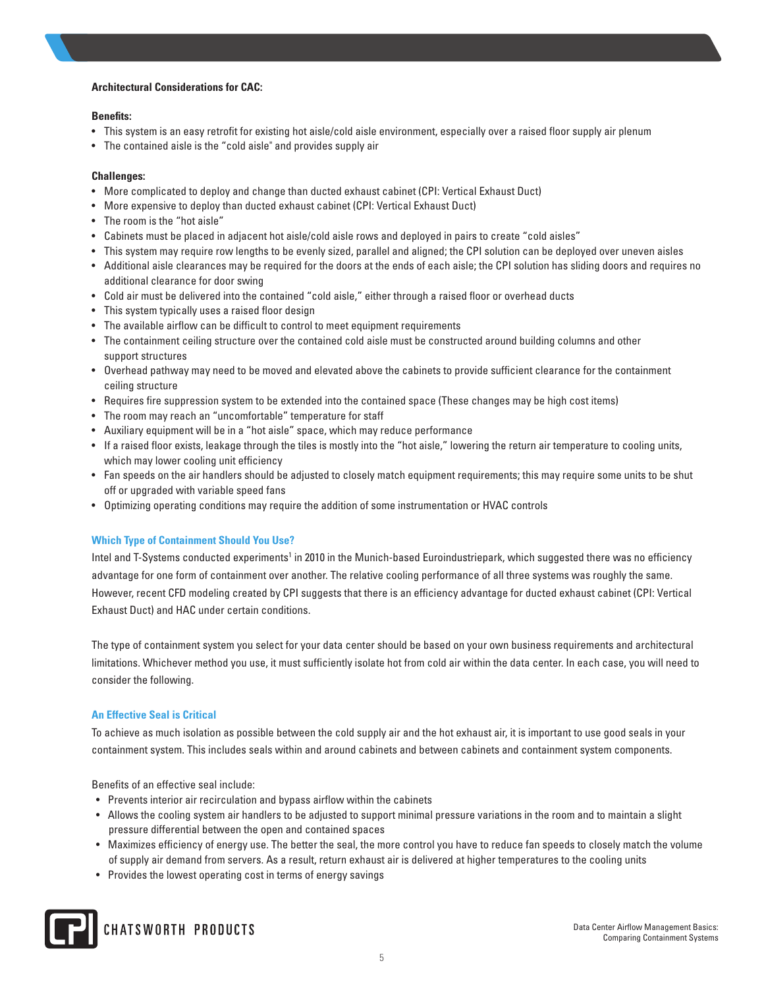## **Architectural Considerations for CAC:**

## **Benefits:**

- This system is an easy retrofit for existing hot aisle/cold aisle environment, especially over a raised floor supply air plenum
- The contained aisle is the "cold aisle" and provides supply air

# **Challenges:**

- More complicated to deploy and change than ducted exhaust cabinet (CPI: Vertical Exhaust Duct)
- More expensive to deploy than ducted exhaust cabinet (CPI: Vertical Exhaust Duct)
- The room is the "hot aisle"
- Cabinets must be placed in adjacent hot aisle/cold aisle rows and deployed in pairs to create "cold aisles"
- This system may require row lengths to be evenly sized, parallel and aligned; the CPI solution can be deployed over uneven aisles
- Additional aisle clearances may be required for the doors at the ends of each aisle; the CPI solution has sliding doors and requires no additional clearance for door swing
- Cold air must be delivered into the contained "cold aisle," either through a raised floor or overhead ducts
- This system typically uses a raised floor design
- The available airflow can be difficult to control to meet equipment requirements
- The containment ceiling structure over the contained cold aisle must be constructed around building columns and other support structures
- Overhead pathway may need to be moved and elevated above the cabinets to provide sufficient clearance for the containment ceiling structure
- Requires fire suppression system to be extended into the contained space (These changes may be high cost items)
- The room may reach an "uncomfortable" temperature for staff
- Auxiliary equipment will be in a "hot aisle" space, which may reduce performance
- If a raised floor exists, leakage through the tiles is mostly into the "hot aisle," lowering the return air temperature to cooling units, which may lower cooling unit efficiency
- Fan speeds on the air handlers should be adjusted to closely match equipment requirements; this may require some units to be shut off or upgraded with variable speed fans
- Optimizing operating conditions may require the addition of some instrumentation or HVAC controls

# **Which Type of Containment Should You Use?**

Intel and T-Systems conducted experiments<sup>1</sup> in 2010 in the Munich-based Euroindustriepark, which suggested there was no efficiency advantage for one form of containment over another. The relative cooling performance of all three systems was roughly the same. However, recent CFD modeling created by CPI suggests that there is an efficiency advantage for ducted exhaust cabinet (CPI: Vertical Exhaust Duct) and HAC under certain conditions.

The type of containment system you select for your data center should be based on your own business requirements and architectural limitations. Whichever method you use, it must sufficiently isolate hot from cold air within the data center. In each case, you will need to consider the following.

# **An Effective Seal is Critical**

To achieve as much isolation as possible between the cold supply air and the hot exhaust air, it is important to use good seals in your containment system. This includes seals within and around cabinets and between cabinets and containment system components.

Benefits of an effective seal include:

- Prevents interior air recirculation and bypass airflow within the cabinets
- Allows the cooling system air handlers to be adjusted to support minimal pressure variations in the room and to maintain a slight pressure differential between the open and contained spaces
- Maximizes efficiency of energy use. The better the seal, the more control you have to reduce fan speeds to closely match the volume of supply air demand from servers. As a result, return exhaust air is delivered at higher temperatures to the cooling units
- Provides the lowest operating cost in terms of energy savings

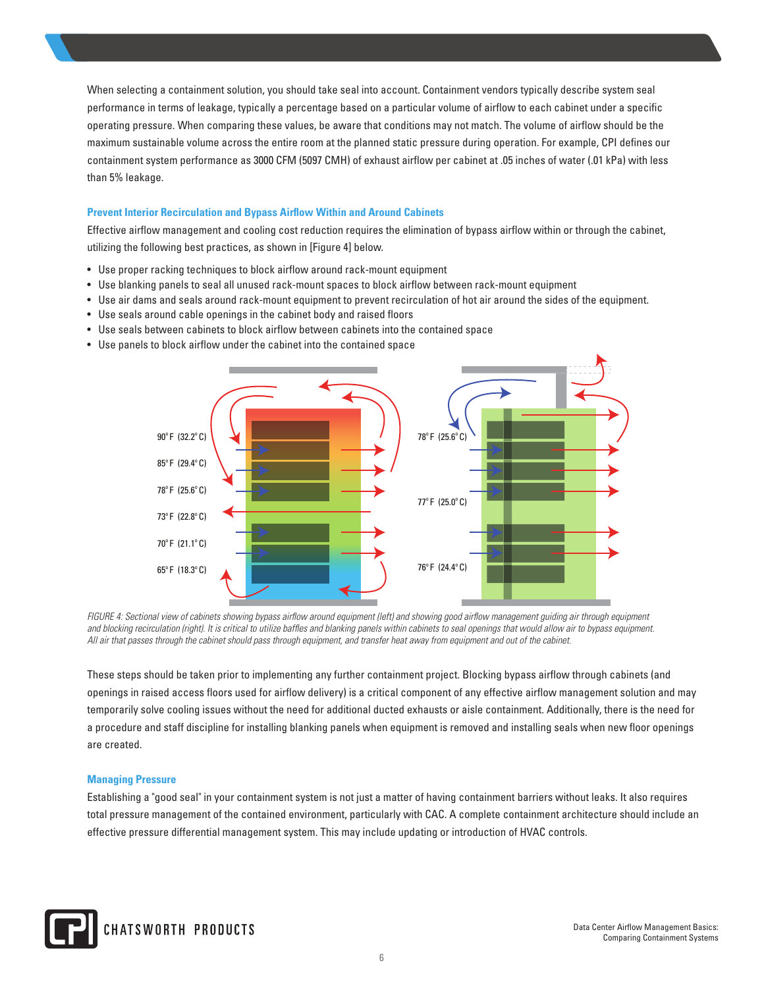When selecting a containment solution, you should take seal into account. Containment vendors typically describe system seal performance in terms of leakage, typically a percentage based on a particular volume of airflow to each cabinet under a specific operating pressure. When comparing these values, be aware that conditions may not match. The volume of airflow should be the maximum sustainable volume across the entire room at the planned static pressure during operation. For example, CPI defines our containment system performance as 3000 CFM (5097 CMH) of exhaust airflow per cabinet at .05 inches of water (.01 kPa) with less than 5% leakage.

## **Prevent Interior Recirculation and Bypass Airflow Within and Around Cabinets**

Effective airflow management and cooling cost reduction requires the elimination of bypass airflow within or through the cabinet, utilizing the following best practices, as shown in [Figure 4] below.

- Use proper racking techniques to block airflow around rack-mount equipment
- Use blanking panels to seal all unused rack-mount spaces to block airflow between rack-mount equipment
- Use air dams and seals around rack-mount equipment to prevent recirculation of hot air around the sides of the equipment.
- Use seals around cable openings in the cabinet body and raised floors
- Use seals between cabinets to block airflow between cabinets into the contained space
- Use panels to block airflow under the cabinet into the contained space



*FIGURE 4: Sectional view of cabinets showing bypass airflow around equipment (left) and showing good airflow management guiding air through equipment and blocking recirculation (right). It is critical to utilize baffles and blanking panels within cabinets to seal openings that would allow air to bypass equipment. All air that passes through the cabinet should pass through equipment, and transfer heat away from equipment and out of the cabinet.*

These steps should be taken prior to implementing any further containment project. Blocking bypass airflow through cabinets (and openings in raised access floors used for airflow delivery) is a critical component of any effective airflow management solution and may temporarily solve cooling issues without the need for additional ducted exhausts or aisle containment. Additionally, there is the need for a procedure and staff discipline for installing blanking panels when equipment is removed and installing seals when new floor openings are created.

## **Managing Pressure**

Establishing a "good seal" in your containment system is not just a matter of having containment barriers without leaks. It also requires total pressure management of the contained environment, particularly with CAC. A complete containment architecture should include an effective pressure differential management system. This may include updating or introduction of HVAC controls.

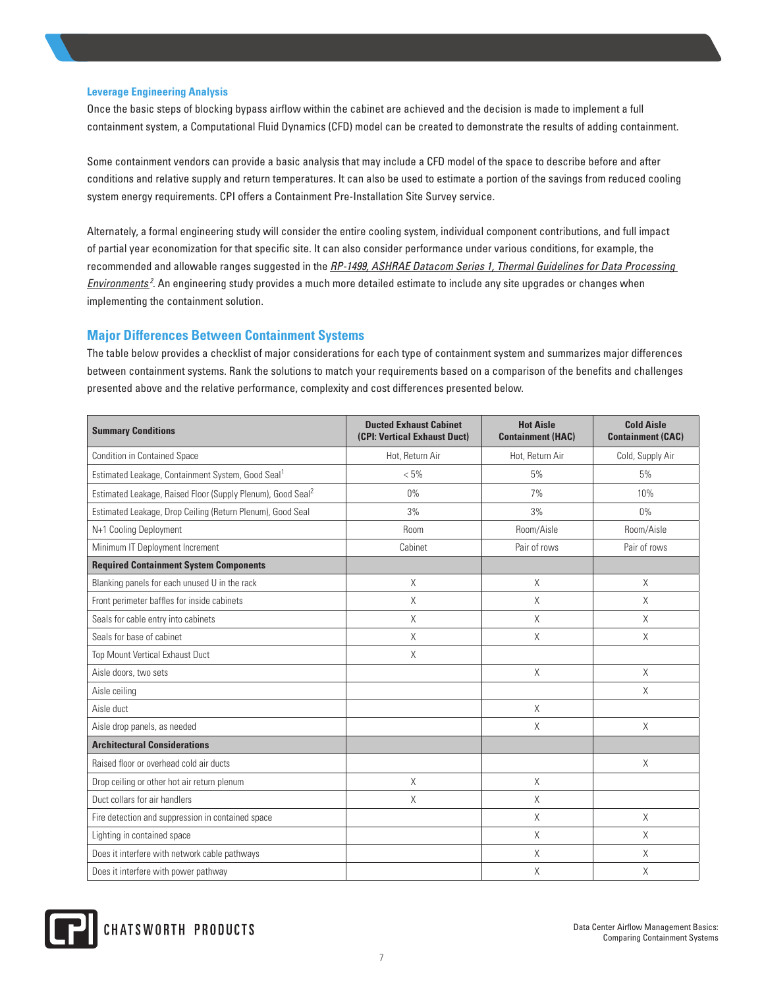## **Leverage Engineering Analysis**

Once the basic steps of blocking bypass airflow within the cabinet are achieved and the decision is made to implement a full containment system, a Computational Fluid Dynamics (CFD) model can be created to demonstrate the results of adding containment.

Some containment vendors can provide a basic analysis that may include a CFD model of the space to describe before and after conditions and relative supply and return temperatures. It can also be used to estimate a portion of the savings from reduced cooling system energy requirements. CPI offers a Containment Pre-Installation Site Survey service.

Alternately, a formal engineering study will consider the entire cooling system, individual component contributions, and full impact of partial year economization for that specific site. It can also consider performance under various conditions, for example, the recommended and allowable ranges suggested in the *RP-1499, ASHRAE Datacom Series 1, Thermal Guidelines for Data Processing Environments <sup>2</sup>* . An engineering study provides a much more detailed estimate to include any site upgrades or changes when implementing the containment solution.

# **Major Differences Between Containment Systems**

The table below provides a checklist of major considerations for each type of containment system and summarizes major differences between containment systems. Rank the solutions to match your requirements based on a comparison of the benefits and challenges presented above and the relative performance, complexity and cost differences presented below.

| <b>Summary Conditions</b>                                               | <b>Ducted Exhaust Cabinet</b><br>(CPI: Vertical Exhaust Duct) | <b>Hot Aisle</b><br><b>Containment (HAC)</b> | <b>Cold Aisle</b><br><b>Containment (CAC)</b> |
|-------------------------------------------------------------------------|---------------------------------------------------------------|----------------------------------------------|-----------------------------------------------|
| <b>Condition in Contained Space</b>                                     | Hot, Return Air                                               | Hot, Return Air                              | Cold, Supply Air                              |
| Estimated Leakage, Containment System, Good Seal <sup>1</sup>           | $< 5\%$                                                       | 5%                                           | 5%                                            |
| Estimated Leakage, Raised Floor (Supply Plenum), Good Seal <sup>2</sup> | $0\%$                                                         | 7%                                           | 10%                                           |
| Estimated Leakage, Drop Ceiling (Return Plenum), Good Seal              | 3%                                                            | 3%                                           | $0\%$                                         |
| N+1 Cooling Deployment                                                  | Room                                                          | Room/Aisle                                   | Room/Aisle                                    |
| Minimum IT Deployment Increment                                         | Cabinet                                                       | Pair of rows                                 | Pair of rows                                  |
| <b>Required Containment System Components</b>                           |                                                               |                                              |                                               |
| Blanking panels for each unused U in the rack                           | X                                                             | $\times$                                     | X                                             |
| Front perimeter baffles for inside cabinets                             | X                                                             | X                                            | X                                             |
| Seals for cable entry into cabinets                                     | X                                                             | X                                            | X                                             |
| Seals for base of cabinet                                               | X                                                             | X                                            | X                                             |
| Top Mount Vertical Exhaust Duct                                         | X                                                             |                                              |                                               |
| Aisle doors, two sets                                                   |                                                               | X                                            | X                                             |
| Aisle ceiling                                                           |                                                               |                                              | X                                             |
| Aisle duct                                                              |                                                               | X                                            |                                               |
| Aisle drop panels, as needed                                            |                                                               | X                                            | Χ                                             |
| <b>Architectural Considerations</b>                                     |                                                               |                                              |                                               |
| Raised floor or overhead cold air ducts                                 |                                                               |                                              | X                                             |
| Drop ceiling or other hot air return plenum                             | $\times$                                                      | $\times$                                     |                                               |
| Duct collars for air handlers                                           | X                                                             | $\times$                                     |                                               |
| Fire detection and suppression in contained space                       |                                                               | X                                            | X                                             |
| Lighting in contained space                                             |                                                               | X                                            | X                                             |
| Does it interfere with network cable pathways                           |                                                               | X                                            | X                                             |
| Does it interfere with power pathway                                    |                                                               | X                                            | X                                             |

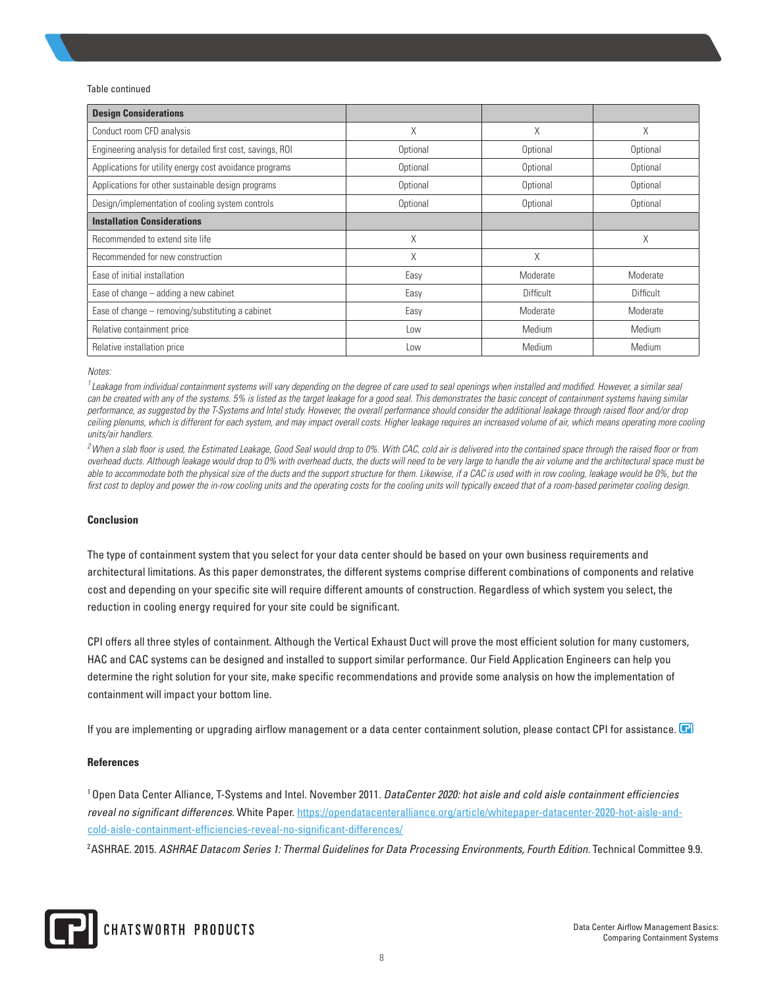#### Table continued

| <b>Design Considerations</b>                               |          |           |           |
|------------------------------------------------------------|----------|-----------|-----------|
| Conduct room CFD analysis                                  | X        | X         | X         |
| Engineering analysis for detailed first cost, savings, ROI | Optional | Optional  | Optional  |
| Applications for utility energy cost avoidance programs    | Optional | Optional  | Optional  |
| Applications for other sustainable design programs         | Optional | Optional  | Optional  |
| Design/implementation of cooling system controls           | Optional | Optional  | Optional  |
| <b>Installation Considerations</b>                         |          |           |           |
| Recommended to extend site life                            | X        |           | Χ         |
| Recommended for new construction                           | X        | X         |           |
| Ease of initial installation                               | Easy     | Moderate  | Moderate  |
| Ease of change $-$ adding a new cabinet                    | Easy     | Difficult | Difficult |
| Ease of change - removing/substituting a cabinet           | Easy     | Moderate  | Moderate  |
| Relative containment price                                 | Low      | Medium    | Medium    |
| Relative installation price                                | Low      | Medium    | Medium    |

*Notes:* 

<sup>1</sup> Leakage from individual containment systems will vary depending on the degree of care used to seal openings when installed and modified. However, a similar seal can be created with any of the systems. 5% is listed as the target leakage for a good seal. This demonstrates the basic concept of containment systems having similar *performance, as suggested by the T-Systems and Intel study. However, the overall performance should consider the additional leakage through raised floor and/or drop*  ceiling plenums, which is different for each system, and may impact overall costs. Higher leakage requires an increased volume of air, which means operating more cooling *units/air handlers.* 

*2When a slab floor is used, the Estimated Leakage, Good Seal would drop to 0%. With CAC, cold air is delivered into the contained space through the raised floor or from overhead ducts. Although leakage would drop to 0% with overhead ducts, the ducts will need to be very large to handle the air volume and the architectural space must be*  able to accommodate both the physical size of the ducts and the support structure for them. Likewise, if a CAC is used with in row cooling, leakage would be 0%, but the *first cost to deploy and power the in-row cooling units and the operating costs for the cooling units will typically exceed that of a room-based perimeter cooling design.* 

#### **Conclusion**

The type of containment system that you select for your data center should be based on your own business requirements and architectural limitations. As this paper demonstrates, the different systems comprise different combinations of components and relative cost and depending on your specific site will require different amounts of construction. Regardless of which system you select, the reduction in cooling energy required for your site could be significant.

CPI offers all three styles of containment. Although the Vertical Exhaust Duct will prove the most efficient solution for many customers, HAC and CAC systems can be designed and installed to support similar performance. Our Field Application Engineers can help you determine the right solution for your site, make specific recommendations and provide some analysis on how the implementation of containment will impact your bottom line.

If you are implementing or upgrading airflow management or a data center containment solution, please contact CPI for assistance.

#### **References**

1 Open Data Center Alliance, T-Systems and Intel. November 2011. *DataCenter 2020: hot aisle and cold aisle containment efficiencies reveal no significant differences.* White Paper. https://opendatacenteralliance.org/article/whitepaper-datacenter-2020-hot-aisle-andcold-aisle-containment-efficiencies-reveal-no-significant-differences/

<sup>2</sup>ASHRAE. 2015. *ASHRAE Datacom Series 1: Thermal Guidelines for Data Processing Environments, Fourth Edition.* Technical Committee 9.9.